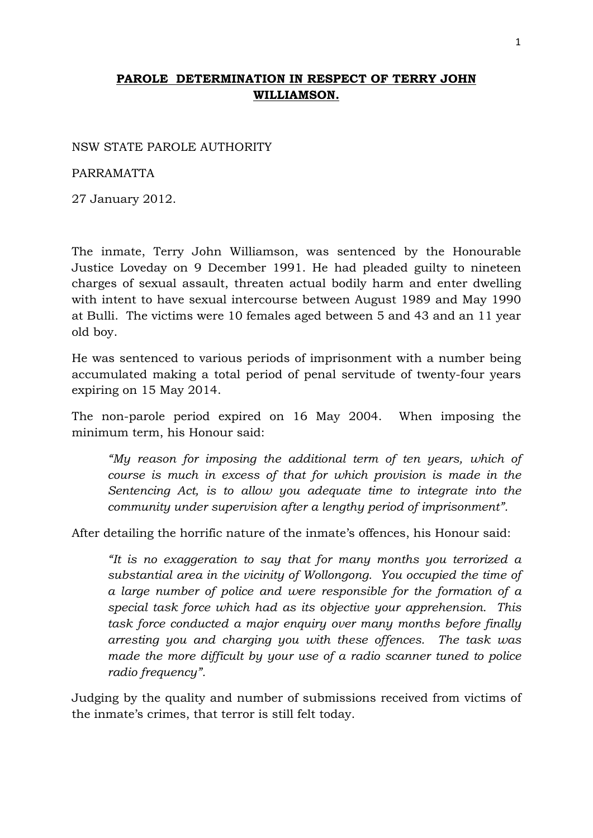## **PAROLE DETERMINATION IN RESPECT OF TERRY JOHN WILLIAMSON.**

## NSW STATE PAROLE AUTHORITY

## PARRAMATTA

27 January 2012.

The inmate, Terry John Williamson, was sentenced by the Honourable Justice Loveday on 9 December 1991. He had pleaded guilty to nineteen charges of sexual assault, threaten actual bodily harm and enter dwelling with intent to have sexual intercourse between August 1989 and May 1990 at Bulli. The victims were 10 females aged between 5 and 43 and an 11 year old boy.

He was sentenced to various periods of imprisonment with a number being accumulated making a total period of penal servitude of twenty-four years expiring on 15 May 2014.

The non-parole period expired on 16 May 2004. When imposing the minimum term, his Honour said:

*"My reason for imposing the additional term of ten years, which of course is much in excess of that for which provision is made in the Sentencing Act, is to allow you adequate time to integrate into the community under supervision after a lengthy period of imprisonment".* 

After detailing the horrific nature of the inmate's offences, his Honour said:

*"It is no exaggeration to say that for many months you terrorized a substantial area in the vicinity of Wollongong. You occupied the time of a large number of police and were responsible for the formation of a special task force which had as its objective your apprehension. This task force conducted a major enquiry over many months before finally arresting you and charging you with these offences. The task was made the more difficult by your use of a radio scanner tuned to police radio frequency".* 

Judging by the quality and number of submissions received from victims of the inmate's crimes, that terror is still felt today.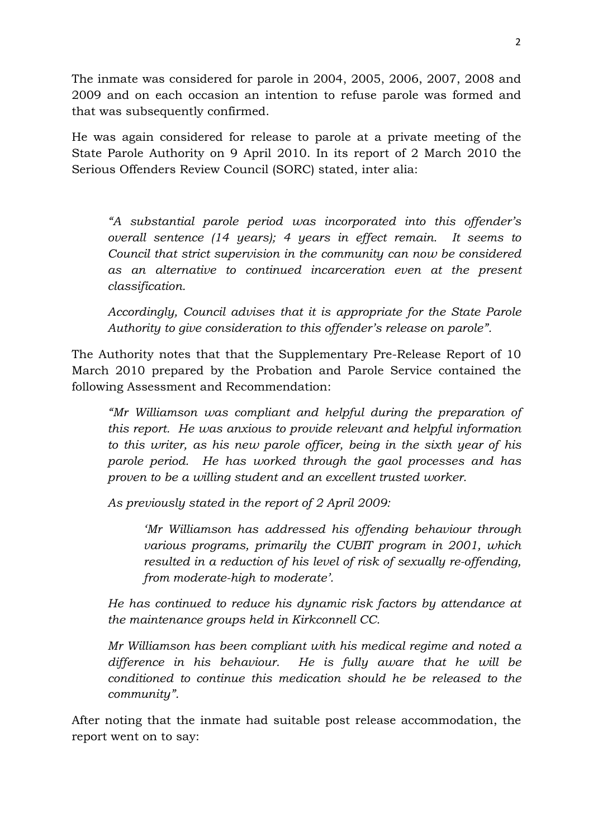The inmate was considered for parole in 2004, 2005, 2006, 2007, 2008 and 2009 and on each occasion an intention to refuse parole was formed and that was subsequently confirmed.

He was again considered for release to parole at a private meeting of the State Parole Authority on 9 April 2010. In its report of 2 March 2010 the Serious Offenders Review Council (SORC) stated, inter alia:

*"A substantial parole period was incorporated into this offender's overall sentence (14 years); 4 years in effect remain. It seems to Council that strict supervision in the community can now be considered as an alternative to continued incarceration even at the present classification.* 

*Accordingly, Council advises that it is appropriate for the State Parole Authority to give consideration to this offender's release on parole".* 

The Authority notes that that the Supplementary Pre-Release Report of 10 March 2010 prepared by the Probation and Parole Service contained the following Assessment and Recommendation:

*"Mr Williamson was compliant and helpful during the preparation of this report. He was anxious to provide relevant and helpful information to this writer, as his new parole officer, being in the sixth year of his parole period. He has worked through the gaol processes and has proven to be a willing student and an excellent trusted worker.* 

*As previously stated in the report of 2 April 2009:* 

*'Mr Williamson has addressed his offending behaviour through various programs, primarily the CUBIT program in 2001, which resulted in a reduction of his level of risk of sexually re-offending, from moderate-high to moderate'.* 

*He has continued to reduce his dynamic risk factors by attendance at the maintenance groups held in Kirkconnell CC.* 

*Mr Williamson has been compliant with his medical regime and noted a difference in his behaviour. He is fully aware that he will be conditioned to continue this medication should he be released to the community".* 

After noting that the inmate had suitable post release accommodation, the report went on to say: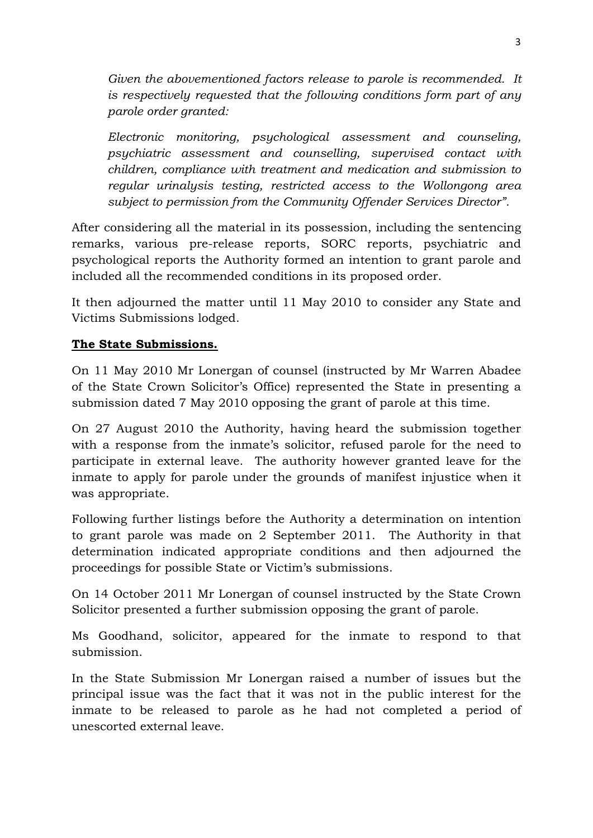*Given the abovementioned factors release to parole is recommended. It is respectively requested that the following conditions form part of any parole order granted:* 

*Electronic monitoring, psychological assessment and counseling, psychiatric assessment and counselling, supervised contact with children, compliance with treatment and medication and submission to regular urinalysis testing, restricted access to the Wollongong area subject to permission from the Community Offender Services Director".* 

After considering all the material in its possession, including the sentencing remarks, various pre-release reports, SORC reports, psychiatric and psychological reports the Authority formed an intention to grant parole and included all the recommended conditions in its proposed order.

It then adjourned the matter until 11 May 2010 to consider any State and Victims Submissions lodged.

## **The State Submissions.**

On 11 May 2010 Mr Lonergan of counsel (instructed by Mr Warren Abadee of the State Crown Solicitor's Office) represented the State in presenting a submission dated 7 May 2010 opposing the grant of parole at this time.

On 27 August 2010 the Authority, having heard the submission together with a response from the inmate's solicitor, refused parole for the need to participate in external leave. The authority however granted leave for the inmate to apply for parole under the grounds of manifest injustice when it was appropriate.

Following further listings before the Authority a determination on intention to grant parole was made on 2 September 2011. The Authority in that determination indicated appropriate conditions and then adjourned the proceedings for possible State or Victim's submissions.

On 14 October 2011 Mr Lonergan of counsel instructed by the State Crown Solicitor presented a further submission opposing the grant of parole.

Ms Goodhand, solicitor, appeared for the inmate to respond to that submission.

In the State Submission Mr Lonergan raised a number of issues but the principal issue was the fact that it was not in the public interest for the inmate to be released to parole as he had not completed a period of unescorted external leave.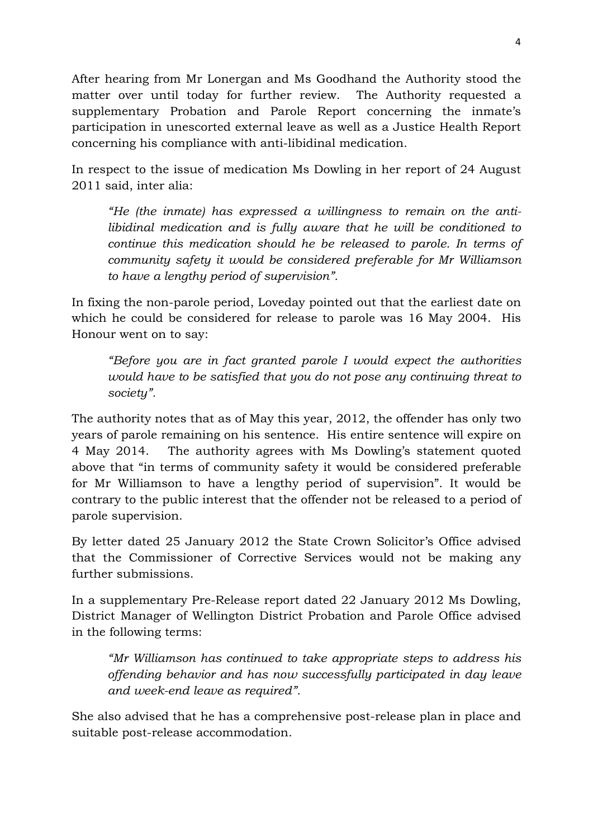After hearing from Mr Lonergan and Ms Goodhand the Authority stood the matter over until today for further review. The Authority requested a supplementary Probation and Parole Report concerning the inmate's participation in unescorted external leave as well as a Justice Health Report concerning his compliance with anti-libidinal medication.

In respect to the issue of medication Ms Dowling in her report of 24 August 2011 said, inter alia:

*"He (the inmate) has expressed a willingness to remain on the antilibidinal medication and is fully aware that he will be conditioned to continue this medication should he be released to parole. In terms of community safety it would be considered preferable for Mr Williamson to have a lengthy period of supervision".* 

In fixing the non-parole period, Loveday pointed out that the earliest date on which he could be considered for release to parole was 16 May 2004. His Honour went on to say:

*"Before you are in fact granted parole I would expect the authorities would have to be satisfied that you do not pose any continuing threat to society".* 

The authority notes that as of May this year, 2012, the offender has only two years of parole remaining on his sentence. His entire sentence will expire on 4 May 2014. The authority agrees with Ms Dowling's statement quoted above that "in terms of community safety it would be considered preferable for Mr Williamson to have a lengthy period of supervision". It would be contrary to the public interest that the offender not be released to a period of parole supervision.

By letter dated 25 January 2012 the State Crown Solicitor's Office advised that the Commissioner of Corrective Services would not be making any further submissions.

In a supplementary Pre-Release report dated 22 January 2012 Ms Dowling, District Manager of Wellington District Probation and Parole Office advised in the following terms:

*"Mr Williamson has continued to take appropriate steps to address his offending behavior and has now successfully participated in day leave and week-end leave as required".* 

She also advised that he has a comprehensive post-release plan in place and suitable post-release accommodation.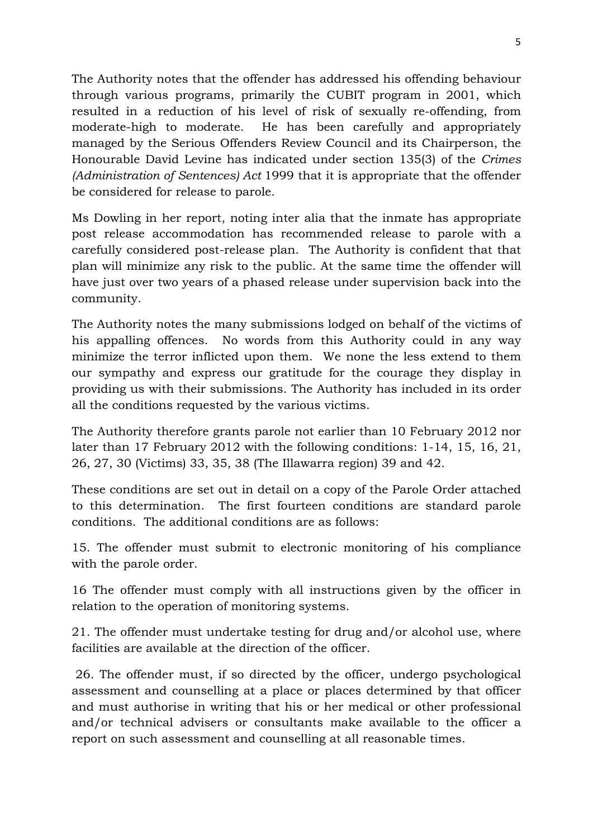The Authority notes that the offender has addressed his offending behaviour through various programs, primarily the CUBIT program in 2001, which resulted in a reduction of his level of risk of sexually re-offending, from moderate-high to moderate. He has been carefully and appropriately managed by the Serious Offenders Review Council and its Chairperson, the Honourable David Levine has indicated under section 135(3) of the *Crimes (Administration of Sentences) Act* 1999 that it is appropriate that the offender be considered for release to parole.

Ms Dowling in her report, noting inter alia that the inmate has appropriate post release accommodation has recommended release to parole with a carefully considered post-release plan. The Authority is confident that that plan will minimize any risk to the public. At the same time the offender will have just over two years of a phased release under supervision back into the community.

The Authority notes the many submissions lodged on behalf of the victims of his appalling offences. No words from this Authority could in any way minimize the terror inflicted upon them. We none the less extend to them our sympathy and express our gratitude for the courage they display in providing us with their submissions. The Authority has included in its order all the conditions requested by the various victims.

The Authority therefore grants parole not earlier than 10 February 2012 nor later than 17 February 2012 with the following conditions: 1-14, 15, 16, 21, 26, 27, 30 (Victims) 33, 35, 38 (The Illawarra region) 39 and 42.

These conditions are set out in detail on a copy of the Parole Order attached to this determination. The first fourteen conditions are standard parole conditions. The additional conditions are as follows:

15. The offender must submit to electronic monitoring of his compliance with the parole order.

16 The offender must comply with all instructions given by the officer in relation to the operation of monitoring systems.

21. The offender must undertake testing for drug and/or alcohol use, where facilities are available at the direction of the officer.

 26. The offender must, if so directed by the officer, undergo psychological assessment and counselling at a place or places determined by that officer and must authorise in writing that his or her medical or other professional and/or technical advisers or consultants make available to the officer a report on such assessment and counselling at all reasonable times.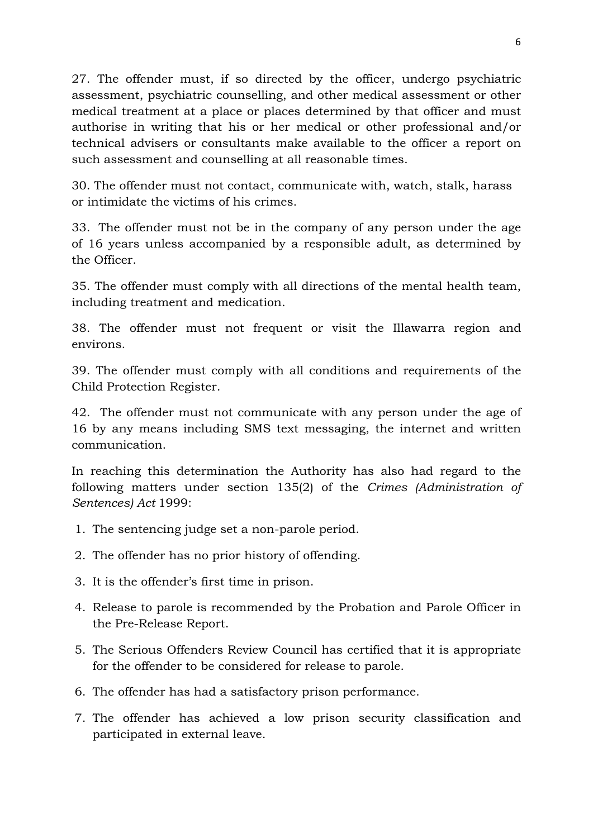27. The offender must, if so directed by the officer, undergo psychiatric assessment, psychiatric counselling, and other medical assessment or other medical treatment at a place or places determined by that officer and must authorise in writing that his or her medical or other professional and/or technical advisers or consultants make available to the officer a report on such assessment and counselling at all reasonable times.

30. The offender must not contact, communicate with, watch, stalk, harass or intimidate the victims of his crimes.

33. The offender must not be in the company of any person under the age of 16 years unless accompanied by a responsible adult, as determined by the Officer.

35. The offender must comply with all directions of the mental health team, including treatment and medication.

38. The offender must not frequent or visit the Illawarra region and environs.

39. The offender must comply with all conditions and requirements of the Child Protection Register.

42. The offender must not communicate with any person under the age of 16 by any means including SMS text messaging, the internet and written communication.

In reaching this determination the Authority has also had regard to the following matters under section 135(2) of the *Crimes (Administration of Sentences) Act* 1999:

- 1. The sentencing judge set a non-parole period.
- 2. The offender has no prior history of offending.
- 3. It is the offender's first time in prison.
- 4. Release to parole is recommended by the Probation and Parole Officer in the Pre-Release Report.
- 5. The Serious Offenders Review Council has certified that it is appropriate for the offender to be considered for release to parole.
- 6. The offender has had a satisfactory prison performance.
- 7. The offender has achieved a low prison security classification and participated in external leave.